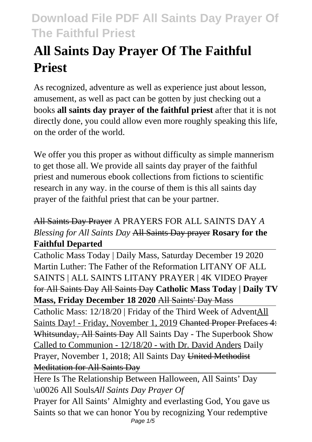# **All Saints Day Prayer Of The Faithful Priest**

As recognized, adventure as well as experience just about lesson, amusement, as well as pact can be gotten by just checking out a books **all saints day prayer of the faithful priest** after that it is not directly done, you could allow even more roughly speaking this life, on the order of the world.

We offer you this proper as without difficulty as simple mannerism to get those all. We provide all saints day prayer of the faithful priest and numerous ebook collections from fictions to scientific research in any way. in the course of them is this all saints day prayer of the faithful priest that can be your partner.

## All Saints Day Prayer A PRAYERS FOR ALL SAINTS DAY *A Blessing for All Saints Day* All Saints Day prayer **Rosary for the Faithful Departed**

Catholic Mass Today | Daily Mass, Saturday December 19 2020 Martin Luther: The Father of the Reformation LITANY OF ALL SAINTS | ALL SAINTS LITANY PRAYER | 4K VIDEO Prayer for All Saints Day All Saints Day **Catholic Mass Today | Daily TV Mass, Friday December 18 2020** All Saints' Day Mass

Catholic Mass: 12/18/20 | Friday of the Third Week of AdventAll Saints Day! - Friday, November 1, 2019 Chanted Proper Prefaces 4: Whitsunday, All Saints Day All Saints Day - The Superbook Show Called to Communion - 12/18/20 - with Dr. David Anders Daily Prayer, November 1, 2018; All Saints Day United Methodist Meditation for All Saints Day

Here Is The Relationship Between Halloween, All Saints' Day \u0026 All Souls*All Saints Day Prayer Of*

Prayer for All Saints' Almighty and everlasting God, You gave us Saints so that we can honor You by recognizing Your redemptive Page 1/5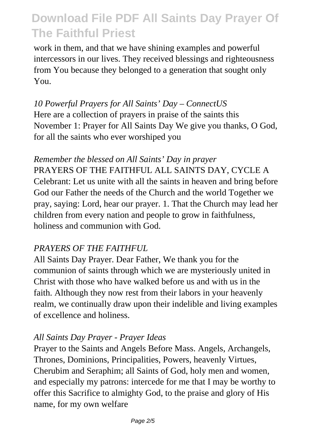work in them, and that we have shining examples and powerful intercessors in our lives. They received blessings and righteousness from You because they belonged to a generation that sought only You.

*10 Powerful Prayers for All Saints' Day – ConnectUS* Here are a collection of prayers in praise of the saints this November 1: Prayer for All Saints Day We give you thanks, O God, for all the saints who ever worshiped you

### *Remember the blessed on All Saints' Day in prayer*

PRAYERS OF THE FAITHFUL ALL SAINTS DAY, CYCLE A Celebrant: Let us unite with all the saints in heaven and bring before God our Father the needs of the Church and the world Together we pray, saying: Lord, hear our prayer. 1. That the Church may lead her children from every nation and people to grow in faithfulness, holiness and communion with God.

### *PRAYERS OF THE FAITHFUL*

All Saints Day Prayer. Dear Father, We thank you for the communion of saints through which we are mysteriously united in Christ with those who have walked before us and with us in the faith. Although they now rest from their labors in your heavenly realm, we continually draw upon their indelible and living examples of excellence and holiness.

### *All Saints Day Prayer - Prayer Ideas*

Prayer to the Saints and Angels Before Mass. Angels, Archangels, Thrones, Dominions, Principalities, Powers, heavenly Virtues, Cherubim and Seraphim; all Saints of God, holy men and women, and especially my patrons: intercede for me that I may be worthy to offer this Sacrifice to almighty God, to the praise and glory of His name, for my own welfare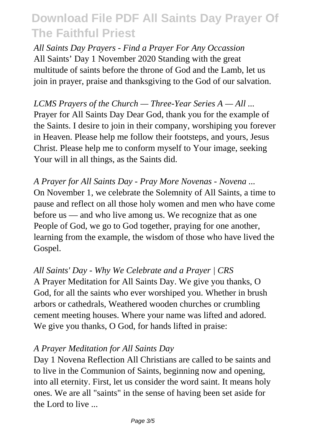*All Saints Day Prayers - Find a Prayer For Any Occassion* All Saints' Day 1 November 2020 Standing with the great multitude of saints before the throne of God and the Lamb, let us join in prayer, praise and thanksgiving to the God of our salvation.

*LCMS Prayers of the Church — Three-Year Series A — All ...* Prayer for All Saints Day Dear God, thank you for the example of the Saints. I desire to join in their company, worshiping you forever in Heaven. Please help me follow their footsteps, and yours, Jesus Christ. Please help me to conform myself to Your image, seeking Your will in all things, as the Saints did.

*A Prayer for All Saints Day - Pray More Novenas - Novena ...* On November 1, we celebrate the Solemnity of All Saints, a time to pause and reflect on all those holy women and men who have come before us — and who live among us. We recognize that as one People of God, we go to God together, praying for one another, learning from the example, the wisdom of those who have lived the Gospel.

#### *All Saints' Day - Why We Celebrate and a Prayer | CRS*

A Prayer Meditation for All Saints Day. We give you thanks, O God, for all the saints who ever worshiped you. Whether in brush arbors or cathedrals, Weathered wooden churches or crumbling cement meeting houses. Where your name was lifted and adored. We give you thanks, O God, for hands lifted in praise:

#### *A Prayer Meditation for All Saints Day*

Day 1 Novena Reflection All Christians are called to be saints and to live in the Communion of Saints, beginning now and opening, into all eternity. First, let us consider the word saint. It means holy ones. We are all "saints" in the sense of having been set aside for the Lord to live ...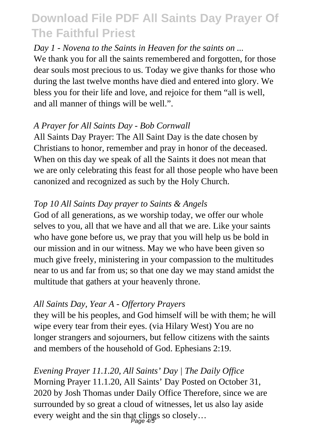#### *Day 1 - Novena to the Saints in Heaven for the saints on ...*

We thank you for all the saints remembered and forgotten, for those dear souls most precious to us. Today we give thanks for those who during the last twelve months have died and entered into glory. We bless you for their life and love, and rejoice for them "all is well, and all manner of things will be well.".

#### *A Prayer for All Saints Day - Bob Cornwall*

All Saints Day Prayer: The All Saint Day is the date chosen by Christians to honor, remember and pray in honor of the deceased. When on this day we speak of all the Saints it does not mean that we are only celebrating this feast for all those people who have been canonized and recognized as such by the Holy Church.

### *Top 10 All Saints Day prayer to Saints & Angels*

God of all generations, as we worship today, we offer our whole selves to you, all that we have and all that we are. Like your saints who have gone before us, we pray that you will help us be bold in our mission and in our witness. May we who have been given so much give freely, ministering in your compassion to the multitudes near to us and far from us; so that one day we may stand amidst the multitude that gathers at your heavenly throne.

### *All Saints Day, Year A - Offertory Prayers*

they will be his peoples, and God himself will be with them; he will wipe every tear from their eyes. (via Hilary West) You are no longer strangers and sojourners, but fellow citizens with the saints and members of the household of God. Ephesians 2:19.

*Evening Prayer 11.1.20, All Saints' Day | The Daily Office* Morning Prayer 11.1.20, All Saints' Day Posted on October 31, 2020 by Josh Thomas under Daily Office Therefore, since we are surrounded by so great a cloud of witnesses, let us also lay aside every weight and the sin that clings so closely...